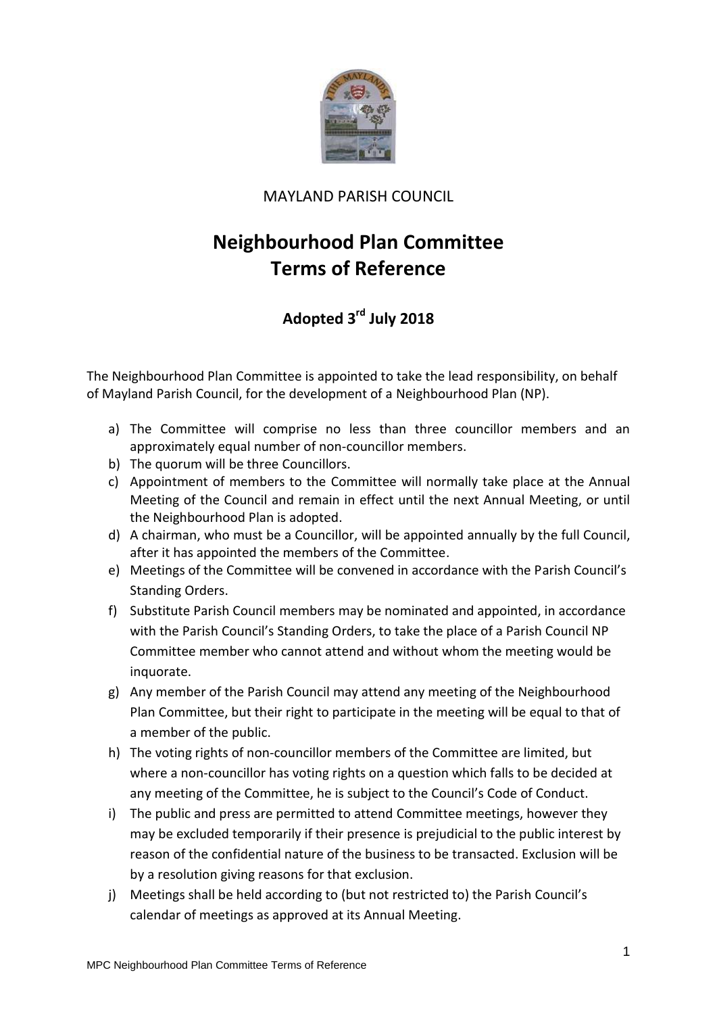

## MAYLAND PARISH COUNCIL

## **Neighbourhood Plan Committee Terms of Reference**

## **Adopted 3 rd July 2018**

The Neighbourhood Plan Committee is appointed to take the lead responsibility, on behalf of Mayland Parish Council, for the development of a Neighbourhood Plan (NP).

- a) The Committee will comprise no less than three councillor members and an approximately equal number of non-councillor members.
- b) The quorum will be three Councillors.
- c) Appointment of members to the Committee will normally take place at the Annual Meeting of the Council and remain in effect until the next Annual Meeting, or until the Neighbourhood Plan is adopted.
- d) A chairman, who must be a Councillor, will be appointed annually by the full Council, after it has appointed the members of the Committee.
- e) Meetings of the Committee will be convened in accordance with the Parish Council's Standing Orders.
- f) Substitute Parish Council members may be nominated and appointed, in accordance with the Parish Council's Standing Orders, to take the place of a Parish Council NP Committee member who cannot attend and without whom the meeting would be inquorate.
- g) Any member of the Parish Council may attend any meeting of the Neighbourhood Plan Committee, but their right to participate in the meeting will be equal to that of a member of the public.
- h) The voting rights of non-councillor members of the Committee are limited, but where a non-councillor has voting rights on a question which falls to be decided at any meeting of the Committee, he is subject to the Council's Code of Conduct.
- i) The public and press are permitted to attend Committee meetings, however they may be excluded temporarily if their presence is prejudicial to the public interest by reason of the confidential nature of the business to be transacted. Exclusion will be by a resolution giving reasons for that exclusion.
- j) Meetings shall be held according to (but not restricted to) the Parish Council's calendar of meetings as approved at its Annual Meeting.